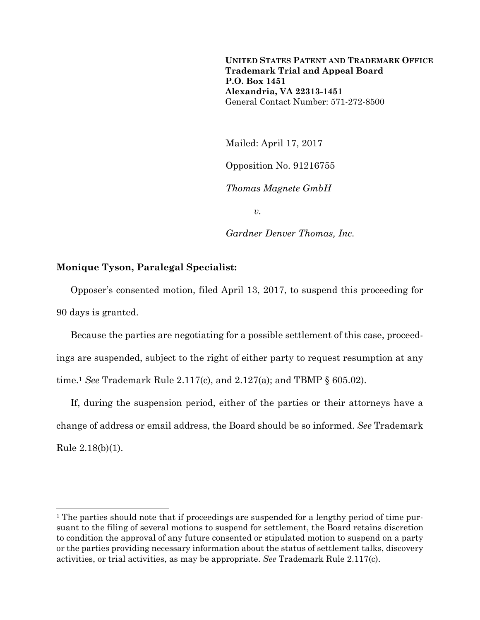**UNITED STATES PATENT AND TRADEMARK OFFICE Trademark Trial and Appeal Board P.O. Box 1451 Alexandria, VA 22313-1451**  General Contact Number: 571-272-8500

Mailed: April 17, 2017

Opposition No. 91216755

*Thomas Magnete GmbH* 

*v.* 

*Gardner Denver Thomas, Inc.* 

## **Monique Tyson, Paralegal Specialist:**

Opposer's consented motion, filed April 13, 2017, to suspend this proceeding for 90 days is granted.

Because the parties are negotiating for a possible settlement of this case, proceedings are suspended, subject to the right of either party to request resumption at any time.1 *See* Trademark Rule 2.117(c), and 2.127(a); and TBMP § 605.02).

If, during the suspension period, either of the parties or their attorneys have a change of address or email address, the Board should be so informed. *See* Trademark Rule 2.18(b)(1).

<sup>&</sup>lt;sup>1</sup> The parties should note that if proceedings are suspended for a lengthy period of time pursuant to the filing of several motions to suspend for settlement, the Board retains discretion to condition the approval of any future consented or stipulated motion to suspend on a party or the parties providing necessary information about the status of settlement talks, discovery activities, or trial activities, as may be appropriate. *See* Trademark Rule 2.117(c).